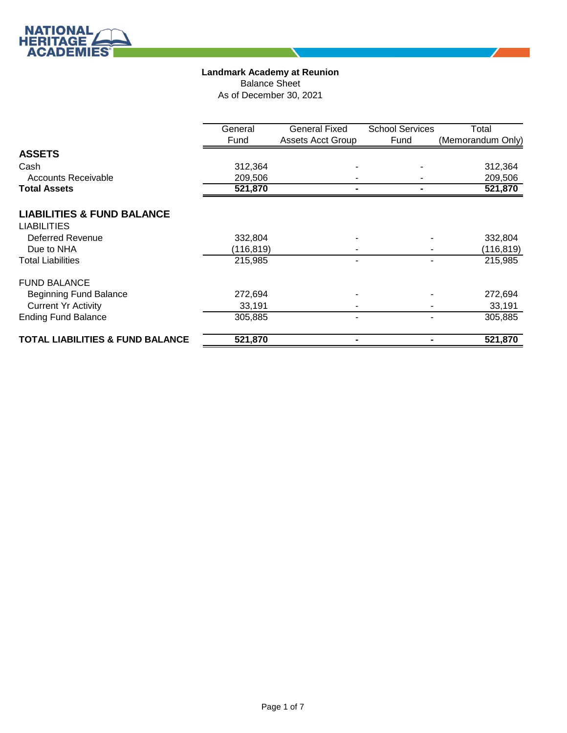∕

Balance Sheet

As of December 30, 2021

|                                             | General   | <b>General Fixed</b>     | <b>School Services</b> | Total             |
|---------------------------------------------|-----------|--------------------------|------------------------|-------------------|
|                                             | Fund      | <b>Assets Acct Group</b> | Fund                   | (Memorandum Only) |
| <b>ASSETS</b>                               |           |                          |                        |                   |
| Cash                                        | 312,364   |                          |                        | 312,364           |
| <b>Accounts Receivable</b>                  | 209,506   |                          |                        | 209,506           |
| <b>Total Assets</b>                         | 521,870   |                          |                        | 521,870           |
| <b>LIABILITIES &amp; FUND BALANCE</b>       |           |                          |                        |                   |
| <b>LIABILITIES</b>                          |           |                          |                        |                   |
| <b>Deferred Revenue</b>                     | 332,804   |                          |                        | 332,804           |
| Due to NHA                                  | (116,819) |                          |                        | (116,819)         |
| <b>Total Liabilities</b>                    | 215,985   |                          |                        | 215,985           |
| <b>FUND BALANCE</b>                         |           |                          |                        |                   |
| <b>Beginning Fund Balance</b>               | 272,694   |                          |                        | 272,694           |
| <b>Current Yr Activity</b>                  | 33,191    |                          |                        | 33,191            |
| <b>Ending Fund Balance</b>                  | 305,885   |                          |                        | 305,885           |
| <b>TOTAL LIABILITIES &amp; FUND BALANCE</b> | 521,870   |                          |                        | 521,870           |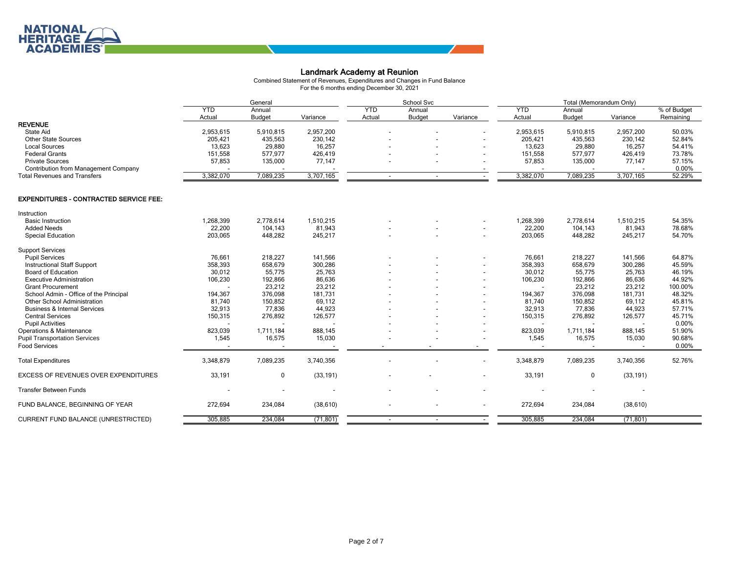Combined Statement of Revenues, Expenditures and Changes in Fund Balance For the 6 months ending December 30, 2021

|                                               |            | General       |           | School Svc |               | Total (Memorandum Only) |            |               |           |             |
|-----------------------------------------------|------------|---------------|-----------|------------|---------------|-------------------------|------------|---------------|-----------|-------------|
|                                               | <b>YTD</b> | Annual        |           | <b>YTD</b> | Annual        |                         | <b>YTD</b> | Annual        |           | % of Budget |
|                                               | Actual     | <b>Budget</b> | Variance  | Actual     | <b>Budget</b> | Variance                | Actual     | <b>Budget</b> | Variance  | Remaining   |
| <b>REVENUE</b>                                |            |               |           |            |               |                         |            |               |           |             |
| <b>State Aid</b>                              | 2,953,615  | 5,910,815     | 2,957,200 |            |               |                         | 2,953,615  | 5,910,815     | 2,957,200 | 50.03%      |
| <b>Other State Sources</b>                    | 205,421    | 435,563       | 230,142   |            |               |                         | 205,421    | 435,563       | 230,142   | 52.84%      |
| <b>Local Sources</b>                          | 13,623     | 29,880        | 16,257    |            |               |                         | 13,623     | 29,880        | 16,257    | 54.41%      |
| <b>Federal Grants</b>                         | 151,558    | 577,977       | 426,419   |            |               |                         | 151,558    | 577,977       | 426,419   | 73.78%      |
| <b>Private Sources</b>                        | 57,853     | 135,000       | 77,147    |            |               |                         | 57,853     | 135,000       | 77,147    | 57.15%      |
| <b>Contribution from Management Company</b>   |            |               |           |            |               |                         |            |               |           | 0.00%       |
| <b>Total Revenues and Transfers</b>           | 3,382,070  | 7,089,235     | 3,707,165 |            |               |                         | 3,382,070  | 7,089,235     | 3,707,165 | 52.29%      |
| <b>EXPENDITURES - CONTRACTED SERVICE FEE:</b> |            |               |           |            |               |                         |            |               |           |             |
| Instruction                                   |            |               |           |            |               |                         |            |               |           |             |
| <b>Basic Instruction</b>                      | 1,268,399  | 2,778,614     | 1,510,215 |            |               |                         | 1,268,399  | 2,778,614     | 1,510,215 | 54.35%      |
| <b>Added Needs</b>                            | 22,200     | 104,143       | 81,943    |            |               |                         | 22,200     | 104,143       | 81,943    | 78.68%      |
| <b>Special Education</b>                      | 203,065    | 448,282       | 245,217   |            |               |                         | 203,065    | 448,282       | 245,217   | 54.70%      |
| <b>Support Services</b>                       |            |               |           |            |               |                         |            |               |           |             |
| <b>Pupil Services</b>                         | 76,661     | 218,227       | 141,566   |            |               |                         | 76,661     | 218,227       | 141,566   | 64.87%      |
| <b>Instructional Staff Support</b>            | 358,393    | 658,679       | 300,286   |            |               |                         | 358,393    | 658,679       | 300,286   | 45.59%      |
| <b>Board of Education</b>                     | 30,012     | 55,775        | 25,763    |            |               |                         | 30,012     | 55,775        | 25,763    | 46.19%      |
| <b>Executive Administration</b>               | 106,230    | 192,866       | 86,636    |            |               |                         | 106,230    | 192,866       | 86,636    | 44.92%      |
| <b>Grant Procurement</b>                      |            | 23,212        | 23,212    |            |               |                         |            | 23,212        | 23,212    | 100.00%     |
| School Admin - Office of the Principal        | 194,367    | 376,098       | 181,731   |            |               |                         | 194,367    | 376,098       | 181,731   | 48.32%      |
| Other School Administration                   | 81,740     | 150,852       | 69,112    |            |               |                         | 81,740     | 150,852       | 69,112    | 45.81%      |
| <b>Business &amp; Internal Services</b>       | 32,913     | 77,836        | 44,923    |            |               |                         | 32,913     | 77,836        | 44,923    | 57.71%      |
| <b>Central Services</b>                       | 150,315    | 276,892       | 126,577   |            |               |                         | 150,315    | 276,892       | 126,577   | 45.71%      |
| <b>Pupil Activities</b>                       |            |               |           |            |               |                         |            |               |           | 0.00%       |
| Operations & Maintenance                      | 823,039    | 1,711,184     | 888,145   |            |               |                         | 823,039    | 1,711,184     | 888,145   | 51.90%      |
| <b>Pupil Transportation Services</b>          | 1,545      | 16,575        | 15,030    |            |               |                         | 1,545      | 16,575        | 15,030    | 90.68%      |
| <b>Food Services</b>                          |            |               |           |            |               |                         |            |               |           | 0.00%       |
| <b>Total Expenditures</b>                     | 3,348,879  | 7,089,235     | 3,740,356 |            |               |                         | 3,348,879  | 7,089,235     | 3,740,356 | 52.76%      |
| EXCESS OF REVENUES OVER EXPENDITURES          | 33,191     | 0             | (33, 191) |            |               |                         | 33,191     | 0             | (33, 191) |             |
| <b>Transfer Between Funds</b>                 |            |               |           |            |               |                         |            |               |           |             |
| FUND BALANCE, BEGINNING OF YEAR               | 272,694    | 234,084       | (38, 610) |            |               |                         | 272,694    | 234,084       | (38, 610) |             |
| CURRENT FUND BALANCE (UNRESTRICTED)           | 305,885    | 234,084       | (71, 801) |            |               |                         | 305,885    | 234,084       | (71, 801) |             |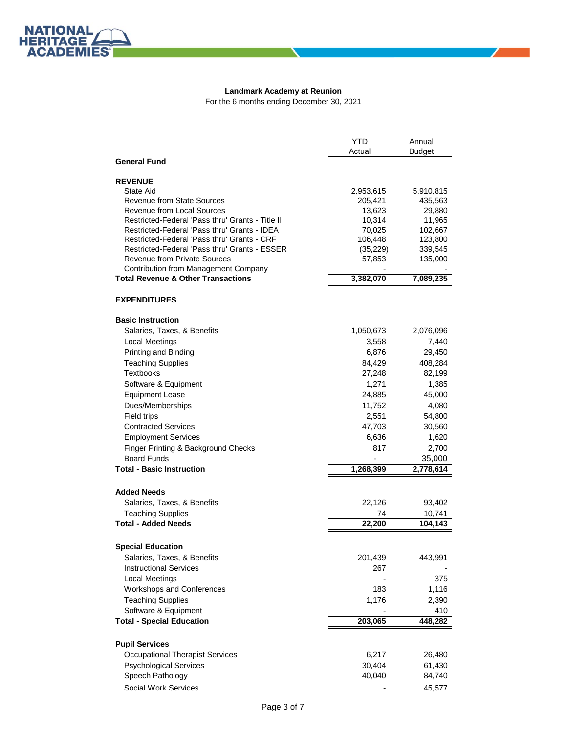$\mathbb{Z}$  and  $\mathbb{Z}$ 

**NATIONAL**<br>HERITAGE **ACADEMIES** 

|                                                  | YTD               | Annual           |
|--------------------------------------------------|-------------------|------------------|
|                                                  | Actual            | <b>Budget</b>    |
| <b>General Fund</b>                              |                   |                  |
|                                                  |                   |                  |
| <b>REVENUE</b>                                   |                   |                  |
| State Aid<br><b>Revenue from State Sources</b>   | 2,953,615         | 5,910,815        |
| Revenue from Local Sources                       | 205,421<br>13,623 | 435,563          |
| Restricted-Federal 'Pass thru' Grants - Title II | 10,314            | 29,880<br>11,965 |
| Restricted-Federal 'Pass thru' Grants - IDEA     | 70,025            | 102,667          |
| Restricted-Federal 'Pass thru' Grants - CRF      | 106,448           | 123,800          |
| Restricted-Federal 'Pass thru' Grants - ESSER    | (35, 229)         | 339,545          |
| Revenue from Private Sources                     | 57,853            | 135,000          |
| <b>Contribution from Management Company</b>      |                   |                  |
| <b>Total Revenue &amp; Other Transactions</b>    | 3,382,070         | 7,089,235        |
|                                                  |                   |                  |
| <b>EXPENDITURES</b>                              |                   |                  |
| <b>Basic Instruction</b>                         |                   |                  |
| Salaries, Taxes, & Benefits                      | 1,050,673         | 2,076,096        |
| <b>Local Meetings</b>                            | 3,558             | 7,440            |
| Printing and Binding                             | 6,876             | 29,450           |
| <b>Teaching Supplies</b>                         | 84,429            | 408,284          |
| <b>Textbooks</b>                                 | 27,248            | 82,199           |
| Software & Equipment                             | 1,271             | 1,385            |
| <b>Equipment Lease</b>                           | 24,885            | 45,000           |
| Dues/Memberships                                 | 11,752            | 4,080            |
| Field trips                                      | 2,551             | 54,800           |
| <b>Contracted Services</b>                       | 47,703            | 30,560           |
| <b>Employment Services</b>                       | 6,636             | 1,620            |
| Finger Printing & Background Checks              | 817               | 2,700            |
| <b>Board Funds</b>                               |                   | 35,000           |
| <b>Total - Basic Instruction</b>                 | 1,268,399         | 2,778,614        |
|                                                  |                   |                  |
| <b>Added Needs</b>                               |                   |                  |
| Salaries, Taxes, & Benefits                      | 22,126            | 93,402           |
| <b>Teaching Supplies</b>                         | 74                | 10,741           |
| <b>Total - Added Needs</b>                       | 22,200            | 104,143          |
|                                                  |                   |                  |
| <b>Special Education</b>                         |                   |                  |
| Salaries, Taxes, & Benefits                      | 201,439           | 443,991          |
| <b>Instructional Services</b>                    | 267               |                  |
| <b>Local Meetings</b>                            |                   | 375              |
| Workshops and Conferences                        | 183               | 1,116            |
| <b>Teaching Supplies</b>                         | 1,176             | 2,390            |
| Software & Equipment                             |                   | 410              |
| <b>Total - Special Education</b>                 | 203,065           | 448,282          |
|                                                  |                   |                  |
| <b>Pupil Services</b>                            |                   |                  |
| <b>Occupational Therapist Services</b>           | 6,217             | 26,480           |
| <b>Psychological Services</b>                    | 30,404            | 61,430           |
| Speech Pathology                                 | 40,040            | 84,740           |
| Social Work Services                             |                   | 45,577           |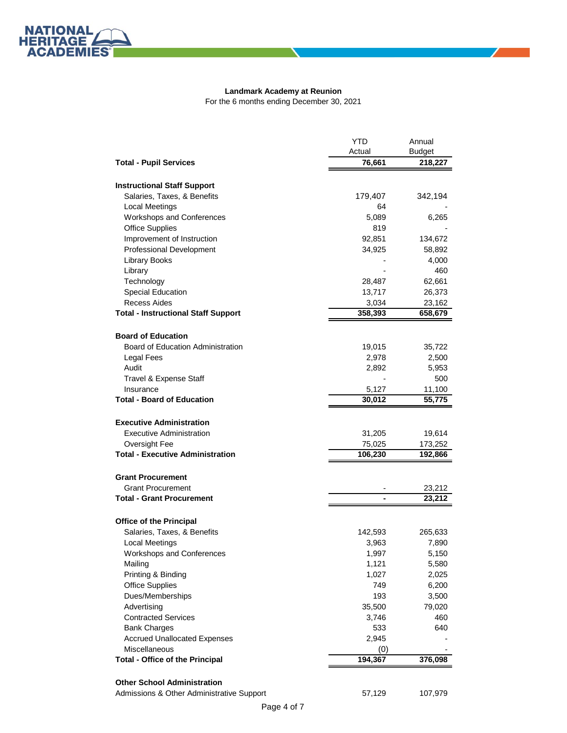

|                                                              | <b>YTD</b>   | Annual        |
|--------------------------------------------------------------|--------------|---------------|
|                                                              | Actual       | <b>Budget</b> |
| <b>Total - Pupil Services</b>                                | 76,661       | 218,227       |
| <b>Instructional Staff Support</b>                           |              |               |
| Salaries, Taxes, & Benefits                                  | 179,407      | 342,194       |
|                                                              | 64           |               |
| <b>Local Meetings</b>                                        |              |               |
| Workshops and Conferences<br><b>Office Supplies</b>          | 5,089<br>819 | 6,265         |
|                                                              |              |               |
| Improvement of Instruction                                   | 92,851       | 134,672       |
| Professional Development                                     | 34,925       | 58,892        |
| <b>Library Books</b>                                         |              | 4,000         |
| Library                                                      |              | 460           |
| Technology                                                   | 28,487       | 62,661        |
| Special Education                                            | 13,717       | 26,373        |
| Recess Aides                                                 | 3,034        | 23,162        |
| <b>Total - Instructional Staff Support</b>                   | 358,393      | 658,679       |
| <b>Board of Education</b>                                    |              |               |
| Board of Education Administration                            | 19,015       | 35,722        |
| Legal Fees                                                   | 2,978        | 2,500         |
| Audit                                                        | 2,892        | 5,953         |
| Travel & Expense Staff                                       |              | 500           |
| Insurance                                                    | 5,127        | 11,100        |
| <b>Total - Board of Education</b>                            | 30,012       | 55,775        |
|                                                              |              |               |
| <b>Executive Administration</b>                              |              |               |
| <b>Executive Administration</b>                              | 31,205       | 19,614        |
| Oversight Fee                                                | 75,025       | 173,252       |
| <b>Total - Executive Administration</b>                      | 106,230      | 192,866       |
|                                                              |              |               |
| <b>Grant Procurement</b>                                     |              |               |
| <b>Grant Procurement</b><br><b>Total - Grant Procurement</b> |              | 23,212        |
|                                                              |              | 23,212        |
| <b>Office of the Principal</b>                               |              |               |
| Salaries, Taxes, & Benefits                                  | 142,593      | 265,633       |
| <b>Local Meetings</b>                                        | 3,963        | 7,890         |
| <b>Workshops and Conferences</b>                             | 1,997        | 5,150         |
| Mailing                                                      | 1,121        | 5,580         |
| Printing & Binding                                           | 1,027        | 2,025         |
| <b>Office Supplies</b>                                       | 749          | 6,200         |
| Dues/Memberships                                             | 193          | 3,500         |
| Advertising                                                  | 35,500       | 79,020        |
| <b>Contracted Services</b>                                   | 3,746        | 460           |
| <b>Bank Charges</b>                                          | 533          | 640           |
| <b>Accrued Unallocated Expenses</b>                          | 2,945        |               |
| <b>Miscellaneous</b>                                         | (0)          |               |
| <b>Total - Office of the Principal</b>                       | 194,367      | 376,098       |
|                                                              |              |               |
| <b>Other School Administration</b>                           |              |               |
| Admissions & Other Administrative Support                    | 57,129       | 107,979       |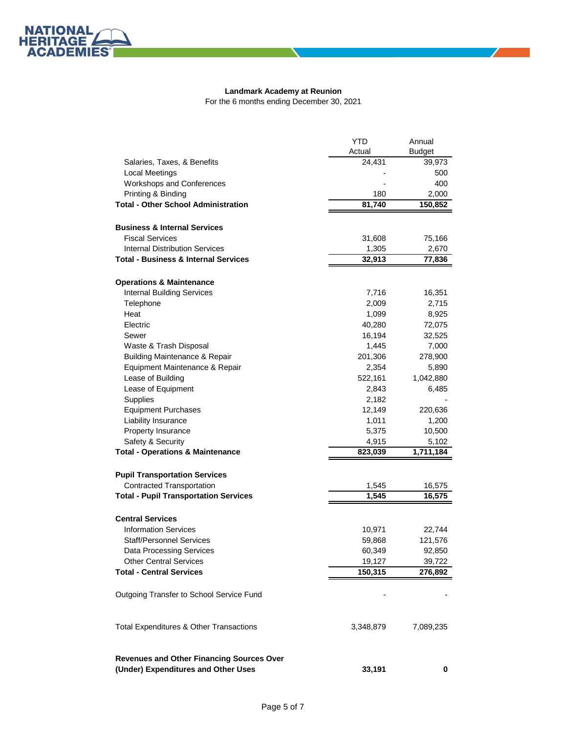╱

NATIONAL<br>HERITAGE **ACADEMIES** 

|                                                  | <b>YTD</b> | Annual        |
|--------------------------------------------------|------------|---------------|
|                                                  | Actual     | <b>Budget</b> |
| Salaries, Taxes, & Benefits                      | 24,431     | 39,973        |
| <b>Local Meetings</b>                            |            | 500           |
| Workshops and Conferences                        |            | 400           |
| Printing & Binding                               | 180        | 2,000         |
| <b>Total - Other School Administration</b>       | 81,740     | 150,852       |
| <b>Business &amp; Internal Services</b>          |            |               |
|                                                  |            |               |
| <b>Fiscal Services</b>                           | 31,608     | 75,166        |
| <b>Internal Distribution Services</b>            | 1,305      | 2,670         |
| <b>Total - Business &amp; Internal Services</b>  | 32,913     | 77,836        |
| <b>Operations &amp; Maintenance</b>              |            |               |
| <b>Internal Building Services</b>                | 7,716      | 16,351        |
| Telephone                                        | 2,009      | 2,715         |
| Heat                                             | 1,099      | 8,925         |
| Electric                                         | 40,280     | 72,075        |
| Sewer                                            | 16,194     | 32,525        |
| Waste & Trash Disposal                           | 1,445      | 7,000         |
| <b>Building Maintenance &amp; Repair</b>         | 201,306    | 278,900       |
| Equipment Maintenance & Repair                   | 2,354      | 5,890         |
| Lease of Building                                | 522,161    | 1,042,880     |
| Lease of Equipment                               | 2,843      | 6,485         |
| Supplies                                         | 2,182      |               |
| <b>Equipment Purchases</b>                       | 12,149     | 220,636       |
| Liability Insurance                              | 1,011      | 1,200         |
| Property Insurance                               | 5,375      | 10,500        |
| Safety & Security                                | 4,915      | 5,102         |
| <b>Total - Operations &amp; Maintenance</b>      | 823,039    | 1,711,184     |
|                                                  |            |               |
| <b>Pupil Transportation Services</b>             |            |               |
| <b>Contracted Transportation</b>                 | 1,545      | 16,575        |
| <b>Total - Pupil Transportation Services</b>     | 1,545      | 16,575        |
| <b>Central Services</b>                          |            |               |
| <b>Information Services</b>                      | 10,971     | 22,744        |
| <b>Staff/Personnel Services</b>                  | 59,868     | 121,576       |
| <b>Data Processing Services</b>                  | 60,349     | 92,850        |
| <b>Other Central Services</b>                    | 19,127     | 39,722        |
| <b>Total - Central Services</b>                  | 150,315    | 276,892       |
|                                                  |            |               |
| Outgoing Transfer to School Service Fund         |            |               |
| Total Expenditures & Other Transactions          | 3,348,879  | 7,089,235     |
| <b>Revenues and Other Financing Sources Over</b> |            |               |
| (Under) Expenditures and Other Uses              | 33,191     | 0             |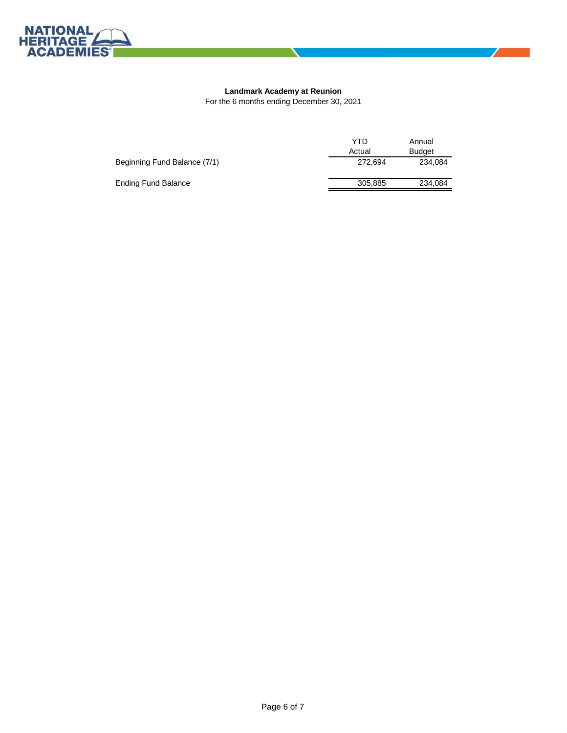

 $\mathbb{Z}$  and  $\mathbb{Z}$ 

|                              | YTD     | Annual        |
|------------------------------|---------|---------------|
|                              | Actual  | <b>Budget</b> |
| Beginning Fund Balance (7/1) | 272.694 | 234.084       |
| Ending Fund Balance          | 305.885 | 234,084       |
|                              |         |               |